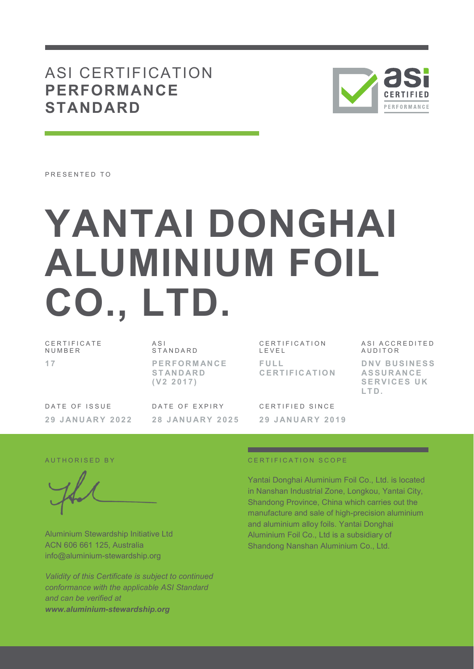# ASI CERTIFICATION **PERFORMANCE STANDARD**



PRESENTED TO

# **YANTAI DONGHAI ALUMINIUM FOIL CO., LTD.**

C E R T I F I C A T E **NUMBER 1 7** 

A S I **STANDARD P E R F O R M AN C E S T AN D AR D ( V 2 2 0 1 7 )** 

DATE OF ISSUE **2 9 J AN U AR Y 2 0 2 2**  DATE OF EXPIRY **2 8 J AN U AR Y 2 0 2 5** 

C E R T I F I C A T I O N L E V E L **F U L L C E R T I F I C AT I O N**  ASI ACCREDITED **AUDITOR D N V B U S I N E S S AS S U R AN C E SERVICES UK L T D .**

C F R T I F I F D S I N C F **2 9 J AN U AR Y 2 0 1 9** 

Aluminium Stewardship Initiative Ltd ACN 606 661 125, Australia info@aluminium-stewardship.org

*Validity of this Certificate is subject to continued conformance with the applicable ASI Standard and can be verified at www.aluminium-stewardship.org*

#### A UT HORISED BY CERTIFICATION SCOPE

Yantai Donghai Aluminium Foil Co., Ltd. is located in Nanshan Industrial Zone, Longkou, Yantai City, Shandong Province, China which carries out the manufacture and sale of high-precision aluminium and aluminium alloy foils. Yantai Donghai Aluminium Foil Co., Ltd is a subsidiary of Shandong Nanshan Aluminium Co., Ltd.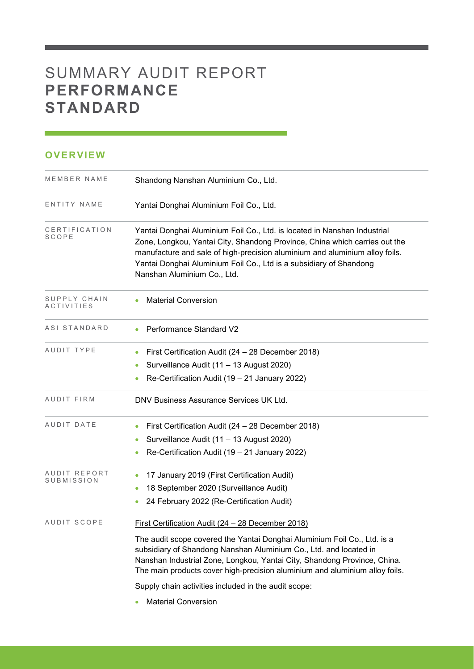# SUMMARY AUDIT REPORT **PERFORMANCE STANDARD**

### **OVERVIEW**

| MEMBER NAME                   | Shandong Nanshan Aluminium Co., Ltd.                                                                                                                                                                                                                                                                                                                                                                                  |
|-------------------------------|-----------------------------------------------------------------------------------------------------------------------------------------------------------------------------------------------------------------------------------------------------------------------------------------------------------------------------------------------------------------------------------------------------------------------|
| ENTITY NAME                   | Yantai Donghai Aluminium Foil Co., Ltd.                                                                                                                                                                                                                                                                                                                                                                               |
| CERTIFICATION<br><b>SCOPE</b> | Yantai Donghai Aluminium Foil Co., Ltd. is located in Nanshan Industrial<br>Zone, Longkou, Yantai City, Shandong Province, China which carries out the<br>manufacture and sale of high-precision aluminium and aluminium alloy foils.<br>Yantai Donghai Aluminium Foil Co., Ltd is a subsidiary of Shandong<br>Nanshan Aluminium Co., Ltd.                                                                            |
| SUPPLY CHAIN<br>ACTIVITIES    | <b>Material Conversion</b>                                                                                                                                                                                                                                                                                                                                                                                            |
| ASI STANDARD                  | Performance Standard V2                                                                                                                                                                                                                                                                                                                                                                                               |
| AUDIT TYPE                    | First Certification Audit (24 - 28 December 2018)<br>$\bullet$<br>Surveillance Audit (11 - 13 August 2020)<br>Re-Certification Audit (19 - 21 January 2022)                                                                                                                                                                                                                                                           |
| AUDIT FIRM                    | DNV Business Assurance Services UK Ltd.                                                                                                                                                                                                                                                                                                                                                                               |
| AUDIT DATE                    | First Certification Audit (24 - 28 December 2018)<br>$\bullet$<br>Surveillance Audit (11 - 13 August 2020)<br>$\bullet$<br>Re-Certification Audit (19 - 21 January 2022)<br>$\bullet$                                                                                                                                                                                                                                 |
| AUDIT REPORT<br>SUBMISSION    | 17 January 2019 (First Certification Audit)<br>18 September 2020 (Surveillance Audit)<br>$\bullet$<br>24 February 2022 (Re-Certification Audit)                                                                                                                                                                                                                                                                       |
| AUDIT SCOPE                   | First Certification Audit (24 - 28 December 2018)<br>The audit scope covered the Yantai Donghai Aluminium Foil Co., Ltd. is a<br>subsidiary of Shandong Nanshan Aluminium Co., Ltd. and located in<br>Nanshan Industrial Zone, Longkou, Yantai City, Shandong Province, China.<br>The main products cover high-precision aluminium and aluminium alloy foils.<br>Supply chain activities included in the audit scope: |

and the control of the control of the control of the control of the control of the control of the control of the control of the control of the control of the control of the control of the control of the control of the cont

**Material Conversion**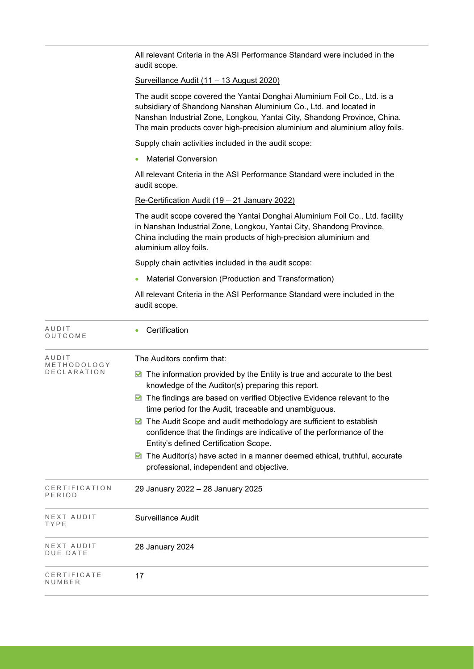| All relevant Criteria in the ASI Performance Standard were included in the<br>audit scope.                                                                                                                                                                                                               |
|----------------------------------------------------------------------------------------------------------------------------------------------------------------------------------------------------------------------------------------------------------------------------------------------------------|
| <u>Surveillance Audit (11 - 13 August 2020)</u>                                                                                                                                                                                                                                                          |
| The audit scope covered the Yantai Donghai Aluminium Foil Co., Ltd. is a<br>subsidiary of Shandong Nanshan Aluminium Co., Ltd. and located in<br>Nanshan Industrial Zone, Longkou, Yantai City, Shandong Province, China.<br>The main products cover high-precision aluminium and aluminium alloy foils. |
| Supply chain activities included in the audit scope:                                                                                                                                                                                                                                                     |
| <b>Material Conversion</b><br>$\bullet$                                                                                                                                                                                                                                                                  |
| All relevant Criteria in the ASI Performance Standard were included in the<br>audit scope.                                                                                                                                                                                                               |
| Re-Certification Audit (19 - 21 January 2022)                                                                                                                                                                                                                                                            |
| The audit scope covered the Yantai Donghai Aluminium Foil Co., Ltd. facility<br>in Nanshan Industrial Zone, Longkou, Yantai City, Shandong Province,<br>China including the main products of high-precision aluminium and<br>aluminium alloy foils.                                                      |
| Supply chain activities included in the audit scope:                                                                                                                                                                                                                                                     |
| Material Conversion (Production and Transformation)                                                                                                                                                                                                                                                      |
| All relevant Criteria in the ASI Performance Standard were included in the<br>audit scope.                                                                                                                                                                                                               |
| Certification                                                                                                                                                                                                                                                                                            |
| The Auditors confirm that:                                                                                                                                                                                                                                                                               |
| The information provided by the Entity is true and accurate to the best<br>M<br>knowledge of the Auditor(s) preparing this report.                                                                                                                                                                       |
| The findings are based on verified Objective Evidence relevant to the<br>time period for the Audit, traceable and unambiguous.                                                                                                                                                                           |
| The Audit Scope and audit methodology are sufficient to establish<br>M<br>confidence that the findings are indicative of the performance of the<br>Entity's defined Certification Scope.                                                                                                                 |
| The Auditor(s) have acted in a manner deemed ethical, truthful, accurate<br>M<br>professional, independent and objective.                                                                                                                                                                                |
| 29 January 2022 - 28 January 2025                                                                                                                                                                                                                                                                        |
| <b>Surveillance Audit</b>                                                                                                                                                                                                                                                                                |
| 28 January 2024                                                                                                                                                                                                                                                                                          |
| 17                                                                                                                                                                                                                                                                                                       |
|                                                                                                                                                                                                                                                                                                          |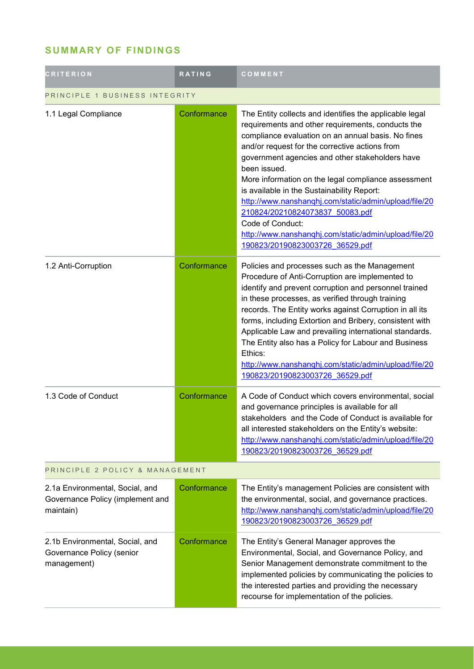## **SUMMARY OF FINDINGS**

| <b>CRITERION</b>                                                                 | <b>RATING</b> | COMMENT                                                                                                                                                                                                                                                                                                                                                                                                                                                                                                                                                                                                  |
|----------------------------------------------------------------------------------|---------------|----------------------------------------------------------------------------------------------------------------------------------------------------------------------------------------------------------------------------------------------------------------------------------------------------------------------------------------------------------------------------------------------------------------------------------------------------------------------------------------------------------------------------------------------------------------------------------------------------------|
| PRINCIPLE 1 BUSINESS INTEGRITY                                                   |               |                                                                                                                                                                                                                                                                                                                                                                                                                                                                                                                                                                                                          |
| 1.1 Legal Compliance                                                             | Conformance   | The Entity collects and identifies the applicable legal<br>requirements and other requirements, conducts the<br>compliance evaluation on an annual basis. No fines<br>and/or request for the corrective actions from<br>government agencies and other stakeholders have<br>been issued.<br>More information on the legal compliance assessment<br>is available in the Sustainability Report:<br>http://www.nanshanghj.com/static/admin/upload/file/20<br>210824/20210824073837 50083.pdf<br>Code of Conduct:<br>http://www.nanshanqhj.com/static/admin/upload/file/20<br>190823/20190823003726 36529.pdf |
| 1.2 Anti-Corruption                                                              | Conformance   | Policies and processes such as the Management<br>Procedure of Anti-Corruption are implemented to<br>identify and prevent corruption and personnel trained<br>in these processes, as verified through training<br>records. The Entity works against Corruption in all its<br>forms, including Extortion and Bribery, consistent with<br>Applicable Law and prevailing international standards.<br>The Entity also has a Policy for Labour and Business<br>Ethics:<br>http://www.nanshanqhj.com/static/admin/upload/file/20<br>190823/20190823003726 36529.pdf                                             |
| 1.3 Code of Conduct                                                              | Conformance   | A Code of Conduct which covers environmental, social<br>and governance principles is available for all<br>stakeholders and the Code of Conduct is available for<br>all interested stakeholders on the Entity's website:<br>http://www.nanshanqhj.com/static/admin/upload/file/20<br>190823/20190823003726 36529.pdf                                                                                                                                                                                                                                                                                      |
| PRINCIPLE 2 POLICY & MANAGEMENT                                                  |               |                                                                                                                                                                                                                                                                                                                                                                                                                                                                                                                                                                                                          |
| 2.1a Environmental, Social, and<br>Governance Policy (implement and<br>maintain) | Conformance   | The Entity's management Policies are consistent with<br>the environmental, social, and governance practices.<br>http://www.nanshanqhj.com/static/admin/upload/file/20<br>190823/20190823003726 36529.pdf                                                                                                                                                                                                                                                                                                                                                                                                 |
| 2.1b Environmental, Social, and<br>Governance Policy (senior<br>management)      | Conformance   | The Entity's General Manager approves the<br>Environmental, Social, and Governance Policy, and<br>Senior Management demonstrate commitment to the<br>implemented policies by communicating the policies to<br>the interested parties and providing the necessary<br>recourse for implementation of the policies.                                                                                                                                                                                                                                                                                         |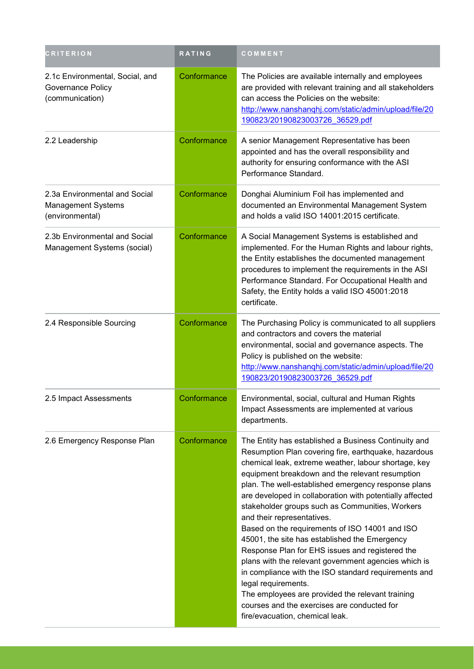| <b>CRITERION</b>                                                        | <b>RATING</b> | COMMENT                                                                                                                                                                                                                                                                                                                                                                                                                                                                                                                                                                                                                                                                                                                                                                                                                                                        |
|-------------------------------------------------------------------------|---------------|----------------------------------------------------------------------------------------------------------------------------------------------------------------------------------------------------------------------------------------------------------------------------------------------------------------------------------------------------------------------------------------------------------------------------------------------------------------------------------------------------------------------------------------------------------------------------------------------------------------------------------------------------------------------------------------------------------------------------------------------------------------------------------------------------------------------------------------------------------------|
| 2.1c Environmental, Social, and<br>Governance Policy<br>(communication) | Conformance   | The Policies are available internally and employees<br>are provided with relevant training and all stakeholders<br>can access the Policies on the website:<br>http://www.nanshanqhj.com/static/admin/upload/file/20<br>190823/20190823003726 36529.pdf                                                                                                                                                                                                                                                                                                                                                                                                                                                                                                                                                                                                         |
| 2.2 Leadership                                                          | Conformance   | A senior Management Representative has been<br>appointed and has the overall responsibility and<br>authority for ensuring conformance with the ASI<br>Performance Standard.                                                                                                                                                                                                                                                                                                                                                                                                                                                                                                                                                                                                                                                                                    |
| 2.3a Environmental and Social<br>Management Systems<br>(environmental)  | Conformance   | Donghai Aluminium Foil has implemented and<br>documented an Environmental Management System<br>and holds a valid ISO 14001:2015 certificate.                                                                                                                                                                                                                                                                                                                                                                                                                                                                                                                                                                                                                                                                                                                   |
| 2.3b Environmental and Social<br>Management Systems (social)            | Conformance   | A Social Management Systems is established and<br>implemented. For the Human Rights and labour rights,<br>the Entity establishes the documented management<br>procedures to implement the requirements in the ASI<br>Performance Standard. For Occupational Health and<br>Safety, the Entity holds a valid ISO 45001:2018<br>certificate.                                                                                                                                                                                                                                                                                                                                                                                                                                                                                                                      |
| 2.4 Responsible Sourcing                                                | Conformance   | The Purchasing Policy is communicated to all suppliers<br>and contractors and covers the material<br>environmental, social and governance aspects. The<br>Policy is published on the website:<br>http://www.nanshanqhj.com/static/admin/upload/file/20<br>190823/20190823003726 36529.pdf                                                                                                                                                                                                                                                                                                                                                                                                                                                                                                                                                                      |
| 2.5 Impact Assessments                                                  | Conformance   | Environmental, social, cultural and Human Rights<br>Impact Assessments are implemented at various<br>departments.                                                                                                                                                                                                                                                                                                                                                                                                                                                                                                                                                                                                                                                                                                                                              |
| 2.6 Emergency Response Plan                                             | Conformance   | The Entity has established a Business Continuity and<br>Resumption Plan covering fire, earthquake, hazardous<br>chemical leak, extreme weather, labour shortage, key<br>equipment breakdown and the relevant resumption<br>plan. The well-established emergency response plans<br>are developed in collaboration with potentially affected<br>stakeholder groups such as Communities, Workers<br>and their representatives.<br>Based on the requirements of ISO 14001 and ISO<br>45001, the site has established the Emergency<br>Response Plan for EHS issues and registered the<br>plans with the relevant government agencies which is<br>in compliance with the ISO standard requirements and<br>legal requirements.<br>The employees are provided the relevant training<br>courses and the exercises are conducted for<br>fire/evacuation, chemical leak. |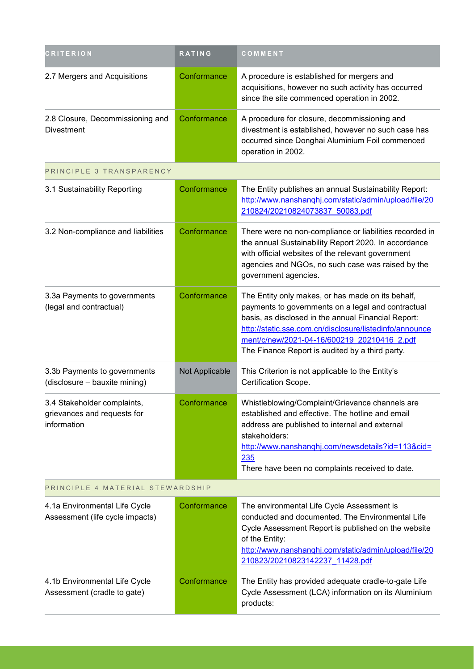| <b>CRITERION</b>                                                          | RATING         | COMMENT                                                                                                                                                                                                                                                                                                                     |
|---------------------------------------------------------------------------|----------------|-----------------------------------------------------------------------------------------------------------------------------------------------------------------------------------------------------------------------------------------------------------------------------------------------------------------------------|
| 2.7 Mergers and Acquisitions                                              | Conformance    | A procedure is established for mergers and<br>acquisitions, however no such activity has occurred<br>since the site commenced operation in 2002.                                                                                                                                                                            |
| 2.8 Closure, Decommissioning and<br><b>Divestment</b>                     | Conformance    | A procedure for closure, decommissioning and<br>divestment is established, however no such case has<br>occurred since Donghai Aluminium Foil commenced<br>operation in 2002.                                                                                                                                                |
| PRINCIPLE 3 TRANSPARENCY                                                  |                |                                                                                                                                                                                                                                                                                                                             |
| 3.1 Sustainability Reporting                                              | Conformance    | The Entity publishes an annual Sustainability Report:<br>http://www.nanshanqhj.com/static/admin/upload/file/20<br>210824/20210824073837 50083.pdf                                                                                                                                                                           |
| 3.2 Non-compliance and liabilities                                        | Conformance    | There were no non-compliance or liabilities recorded in<br>the annual Sustainability Report 2020. In accordance<br>with official websites of the relevant government<br>agencies and NGOs, no such case was raised by the<br>government agencies.                                                                           |
| 3.3a Payments to governments<br>(legal and contractual)                   | Conformance    | The Entity only makes, or has made on its behalf,<br>payments to governments on a legal and contractual<br>basis, as disclosed in the annual Financial Report:<br>http://static.sse.com.cn/disclosure/listedinfo/announce<br>ment/c/new/2021-04-16/600219 20210416 2.pdf<br>The Finance Report is audited by a third party. |
| 3.3b Payments to governments<br>(disclosure - bauxite mining)             | Not Applicable | This Criterion is not applicable to the Entity's<br>Certification Scope.                                                                                                                                                                                                                                                    |
| 3.4 Stakeholder complaints,<br>grievances and requests for<br>information | Conformance    | Whistleblowing/Complaint/Grievance channels are<br>established and effective. The hotline and email<br>address are published to internal and external<br>stakeholders:<br>http://www.nanshanghj.com/newsdetails?id=113&cid=<br>235<br>There have been no complaints received to date.                                       |
| PRINCIPLE 4 MATERIAL STEWARDSHIP                                          |                |                                                                                                                                                                                                                                                                                                                             |
| 4.1a Environmental Life Cycle<br>Assessment (life cycle impacts)          | Conformance    | The environmental Life Cycle Assessment is<br>conducted and documented. The Environmental Life<br>Cycle Assessment Report is published on the website<br>of the Entity:<br>http://www.nanshanghj.com/static/admin/upload/file/20<br>210823/20210823142237 11428.pdf                                                         |
| 4.1b Environmental Life Cycle<br>Assessment (cradle to gate)              | Conformance    | The Entity has provided adequate cradle-to-gate Life<br>Cycle Assessment (LCA) information on its Aluminium<br>products:                                                                                                                                                                                                    |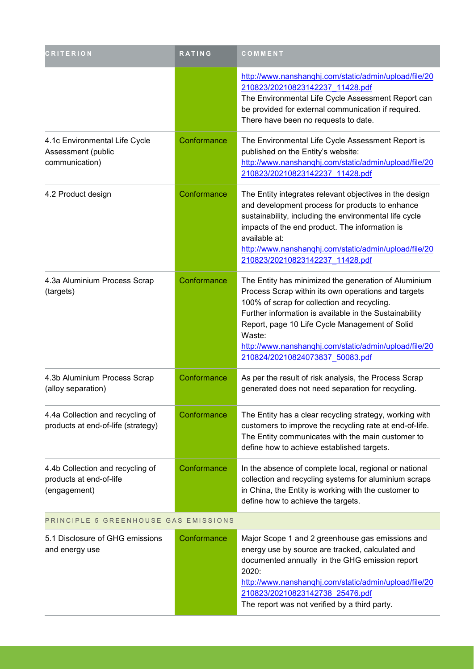| <b>CRITERION</b>                                                            | <b>RATING</b> | COMMENT                                                                                                                                                                                                                                                                                                                                                                      |
|-----------------------------------------------------------------------------|---------------|------------------------------------------------------------------------------------------------------------------------------------------------------------------------------------------------------------------------------------------------------------------------------------------------------------------------------------------------------------------------------|
|                                                                             |               | http://www.nanshanqhj.com/static/admin/upload/file/20<br>210823/20210823142237 11428.pdf<br>The Environmental Life Cycle Assessment Report can<br>be provided for external communication if required.<br>There have been no requests to date.                                                                                                                                |
| 4.1c Environmental Life Cycle<br>Assessment (public<br>communication)       | Conformance   | The Environmental Life Cycle Assessment Report is<br>published on the Entity's website:<br>http://www.nanshanqhj.com/static/admin/upload/file/20<br>210823/20210823142237 11428.pdf                                                                                                                                                                                          |
| 4.2 Product design                                                          | Conformance   | The Entity integrates relevant objectives in the design<br>and development process for products to enhance<br>sustainability, including the environmental life cycle<br>impacts of the end product. The information is<br>available at:<br>http://www.nanshanqhj.com/static/admin/upload/file/20<br>210823/20210823142237 11428.pdf                                          |
| 4.3a Aluminium Process Scrap<br>(targets)                                   | Conformance   | The Entity has minimized the generation of Aluminium<br>Process Scrap within its own operations and targets<br>100% of scrap for collection and recycling.<br>Further information is available in the Sustainability<br>Report, page 10 Life Cycle Management of Solid<br>Waste:<br>http://www.nanshanqhj.com/static/admin/upload/file/20<br>210824/20210824073837 50083.pdf |
| 4.3b Aluminium Process Scrap<br>(alloy separation)                          | Conformance   | As per the result of risk analysis, the Process Scrap<br>generated does not need separation for recycling.                                                                                                                                                                                                                                                                   |
| 4.4a Collection and recycling of<br>products at end-of-life (strategy)      | Conformance   | The Entity has a clear recycling strategy, working with<br>customers to improve the recycling rate at end-of-life.<br>The Entity communicates with the main customer to<br>define how to achieve established targets.                                                                                                                                                        |
| 4.4b Collection and recycling of<br>products at end-of-life<br>(engagement) | Conformance   | In the absence of complete local, regional or national<br>collection and recycling systems for aluminium scraps<br>in China, the Entity is working with the customer to<br>define how to achieve the targets.                                                                                                                                                                |
| PRINCIPLE 5 GREENHOUSE GAS EMISSIONS                                        |               |                                                                                                                                                                                                                                                                                                                                                                              |
| 5.1 Disclosure of GHG emissions<br>and energy use                           | Conformance   | Major Scope 1 and 2 greenhouse gas emissions and<br>energy use by source are tracked, calculated and<br>documented annually in the GHG emission report<br>2020:<br>http://www.nanshanghj.com/static/admin/upload/file/20<br>210823/20210823142738 25476.pdf<br>The report was not verified by a third party.                                                                 |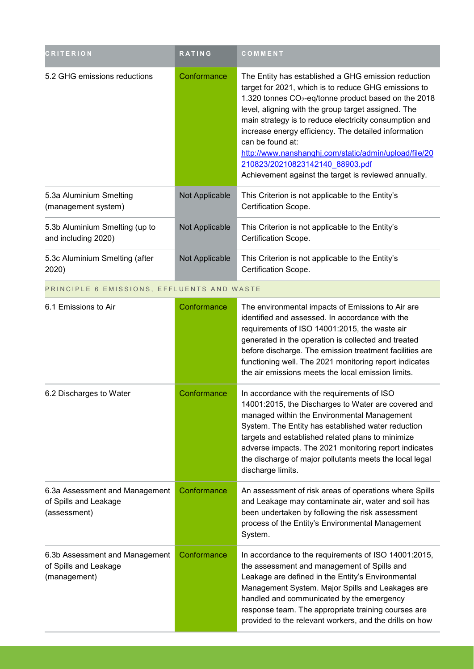| <b>CRITERION</b>                                                        | RATING         | COMMENT                                                                                                                                                                                                                                                                                                                                                                                                                                                                                                                          |
|-------------------------------------------------------------------------|----------------|----------------------------------------------------------------------------------------------------------------------------------------------------------------------------------------------------------------------------------------------------------------------------------------------------------------------------------------------------------------------------------------------------------------------------------------------------------------------------------------------------------------------------------|
| 5.2 GHG emissions reductions                                            | Conformance    | The Entity has established a GHG emission reduction<br>target for 2021, which is to reduce GHG emissions to<br>1.320 tonnes CO <sub>2</sub> -eq/tonne product based on the 2018<br>level, aligning with the group target assigned. The<br>main strategy is to reduce electricity consumption and<br>increase energy efficiency. The detailed information<br>can be found at:<br>http://www.nanshanghj.com/static/admin/upload/file/20<br>210823/20210823142140 88903.pdf<br>Achievement against the target is reviewed annually. |
| 5.3a Aluminium Smelting<br>(management system)                          | Not Applicable | This Criterion is not applicable to the Entity's<br>Certification Scope.                                                                                                                                                                                                                                                                                                                                                                                                                                                         |
| 5.3b Aluminium Smelting (up to<br>and including 2020)                   | Not Applicable | This Criterion is not applicable to the Entity's<br>Certification Scope.                                                                                                                                                                                                                                                                                                                                                                                                                                                         |
| 5.3c Aluminium Smelting (after<br>2020)                                 | Not Applicable | This Criterion is not applicable to the Entity's<br>Certification Scope.                                                                                                                                                                                                                                                                                                                                                                                                                                                         |
| PRINCIPLE 6 EMISSIONS, EFFLUENTS AND WASTE                              |                |                                                                                                                                                                                                                                                                                                                                                                                                                                                                                                                                  |
| 6.1 Emissions to Air                                                    | Conformance    | The environmental impacts of Emissions to Air are<br>identified and assessed. In accordance with the<br>requirements of ISO 14001:2015, the waste air<br>generated in the operation is collected and treated<br>before discharge. The emission treatment facilities are<br>functioning well. The 2021 monitoring report indicates<br>the air emissions meets the local emission limits.                                                                                                                                          |
| 6.2 Discharges to Water                                                 | Conformance    | In accordance with the requirements of ISO<br>14001:2015, the Discharges to Water are covered and<br>managed within the Environmental Management<br>System. The Entity has established water reduction<br>targets and established related plans to minimize<br>adverse impacts. The 2021 monitoring report indicates<br>the discharge of major pollutants meets the local legal<br>discharge limits.                                                                                                                             |
| 6.3a Assessment and Management<br>of Spills and Leakage<br>(assessment) | Conformance    | An assessment of risk areas of operations where Spills<br>and Leakage may contaminate air, water and soil has<br>been undertaken by following the risk assessment<br>process of the Entity's Environmental Management<br>System.                                                                                                                                                                                                                                                                                                 |
| 6.3b Assessment and Management<br>of Spills and Leakage<br>(management) | Conformance    | In accordance to the requirements of ISO 14001:2015,<br>the assessment and management of Spills and<br>Leakage are defined in the Entity's Environmental<br>Management System. Major Spills and Leakages are<br>handled and communicated by the emergency<br>response team. The appropriate training courses are<br>provided to the relevant workers, and the drills on how                                                                                                                                                      |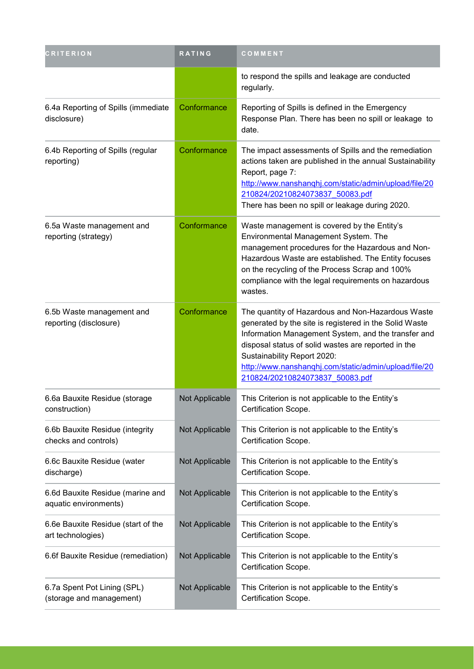| <b>CRITERION</b>                                          | <b>RATING</b>  | COMMENT                                                                                                                                                                                                                                                                                                                                              |
|-----------------------------------------------------------|----------------|------------------------------------------------------------------------------------------------------------------------------------------------------------------------------------------------------------------------------------------------------------------------------------------------------------------------------------------------------|
|                                                           |                | to respond the spills and leakage are conducted<br>regularly.                                                                                                                                                                                                                                                                                        |
| 6.4a Reporting of Spills (immediate<br>disclosure)        | Conformance    | Reporting of Spills is defined in the Emergency<br>Response Plan. There has been no spill or leakage to<br>date.                                                                                                                                                                                                                                     |
| 6.4b Reporting of Spills (regular<br>reporting)           | Conformance    | The impact assessments of Spills and the remediation<br>actions taken are published in the annual Sustainability<br>Report, page 7:<br>http://www.nanshanqhj.com/static/admin/upload/file/20<br>210824/20210824073837 50083.pdf<br>There has been no spill or leakage during 2020.                                                                   |
| 6.5a Waste management and<br>reporting (strategy)         | Conformance    | Waste management is covered by the Entity's<br>Environmental Management System. The<br>management procedures for the Hazardous and Non-<br>Hazardous Waste are established. The Entity focuses<br>on the recycling of the Process Scrap and 100%<br>compliance with the legal requirements on hazardous<br>wastes.                                   |
| 6.5b Waste management and<br>reporting (disclosure)       | Conformance    | The quantity of Hazardous and Non-Hazardous Waste<br>generated by the site is registered in the Solid Waste<br>Information Management System, and the transfer and<br>disposal status of solid wastes are reported in the<br>Sustainability Report 2020:<br>http://www.nanshanqhj.com/static/admin/upload/file/20<br>210824/20210824073837 50083.pdf |
| 6.6a Bauxite Residue (storage<br>construction)            | Not Applicable | This Criterion is not applicable to the Entity's<br>Certification Scope.                                                                                                                                                                                                                                                                             |
| 6.6b Bauxite Residue (integrity<br>checks and controls)   | Not Applicable | This Criterion is not applicable to the Entity's<br>Certification Scope.                                                                                                                                                                                                                                                                             |
| 6.6c Bauxite Residue (water<br>discharge)                 | Not Applicable | This Criterion is not applicable to the Entity's<br>Certification Scope.                                                                                                                                                                                                                                                                             |
| 6.6d Bauxite Residue (marine and<br>aquatic environments) | Not Applicable | This Criterion is not applicable to the Entity's<br>Certification Scope.                                                                                                                                                                                                                                                                             |
| 6.6e Bauxite Residue (start of the<br>art technologies)   | Not Applicable | This Criterion is not applicable to the Entity's<br>Certification Scope.                                                                                                                                                                                                                                                                             |
| 6.6f Bauxite Residue (remediation)                        | Not Applicable | This Criterion is not applicable to the Entity's<br>Certification Scope.                                                                                                                                                                                                                                                                             |
| 6.7a Spent Pot Lining (SPL)<br>(storage and management)   | Not Applicable | This Criterion is not applicable to the Entity's<br>Certification Scope.                                                                                                                                                                                                                                                                             |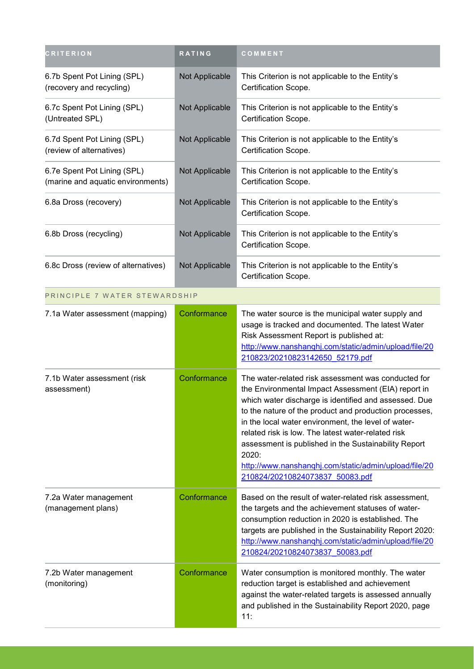| <b>CRITERION</b>                                                 | RATING         | COMMENT                                                                                                                                                                                                                                                                                                                                                                                                                                                                                                 |
|------------------------------------------------------------------|----------------|---------------------------------------------------------------------------------------------------------------------------------------------------------------------------------------------------------------------------------------------------------------------------------------------------------------------------------------------------------------------------------------------------------------------------------------------------------------------------------------------------------|
| 6.7b Spent Pot Lining (SPL)<br>(recovery and recycling)          | Not Applicable | This Criterion is not applicable to the Entity's<br>Certification Scope.                                                                                                                                                                                                                                                                                                                                                                                                                                |
| 6.7c Spent Pot Lining (SPL)<br>(Untreated SPL)                   | Not Applicable | This Criterion is not applicable to the Entity's<br>Certification Scope.                                                                                                                                                                                                                                                                                                                                                                                                                                |
| 6.7d Spent Pot Lining (SPL)<br>(review of alternatives)          | Not Applicable | This Criterion is not applicable to the Entity's<br>Certification Scope.                                                                                                                                                                                                                                                                                                                                                                                                                                |
| 6.7e Spent Pot Lining (SPL)<br>(marine and aquatic environments) | Not Applicable | This Criterion is not applicable to the Entity's<br>Certification Scope.                                                                                                                                                                                                                                                                                                                                                                                                                                |
| 6.8a Dross (recovery)                                            | Not Applicable | This Criterion is not applicable to the Entity's<br>Certification Scope.                                                                                                                                                                                                                                                                                                                                                                                                                                |
| 6.8b Dross (recycling)                                           | Not Applicable | This Criterion is not applicable to the Entity's<br>Certification Scope.                                                                                                                                                                                                                                                                                                                                                                                                                                |
| 6.8c Dross (review of alternatives)                              | Not Applicable | This Criterion is not applicable to the Entity's<br>Certification Scope.                                                                                                                                                                                                                                                                                                                                                                                                                                |
| PRINCIPLE 7 WATER STEWARDSHIP                                    |                |                                                                                                                                                                                                                                                                                                                                                                                                                                                                                                         |
| 7.1a Water assessment (mapping)                                  | Conformance    | The water source is the municipal water supply and<br>usage is tracked and documented. The latest Water<br>Risk Assessment Report is published at:<br>http://www.nanshanqhj.com/static/admin/upload/file/20<br>210823/20210823142650 52179.pdf                                                                                                                                                                                                                                                          |
| 7.1b Water assessment (risk<br>assessment)                       | Conformance    | The water-related risk assessment was conducted for<br>the Environmental Impact Assessment (EIA) report in<br>which water discharge is identified and assessed. Due<br>to the nature of the product and production processes,<br>in the local water environment, the level of water-<br>related risk is low. The latest water-related risk<br>assessment is published in the Sustainability Report<br>2020:<br>http://www.nanshanqhj.com/static/admin/upload/file/20<br>210824/20210824073837 50083.pdf |
| 7.2a Water management<br>(management plans)                      | Conformance    | Based on the result of water-related risk assessment,<br>the targets and the achievement statuses of water-<br>consumption reduction in 2020 is established. The<br>targets are published in the Sustainability Report 2020:<br>http://www.nanshanqhj.com/static/admin/upload/file/20<br>210824/20210824073837 50083.pdf                                                                                                                                                                                |
| 7.2b Water management<br>(monitoring)                            | Conformance    | Water consumption is monitored monthly. The water<br>reduction target is established and achievement<br>against the water-related targets is assessed annually<br>and published in the Sustainability Report 2020, page<br>11:                                                                                                                                                                                                                                                                          |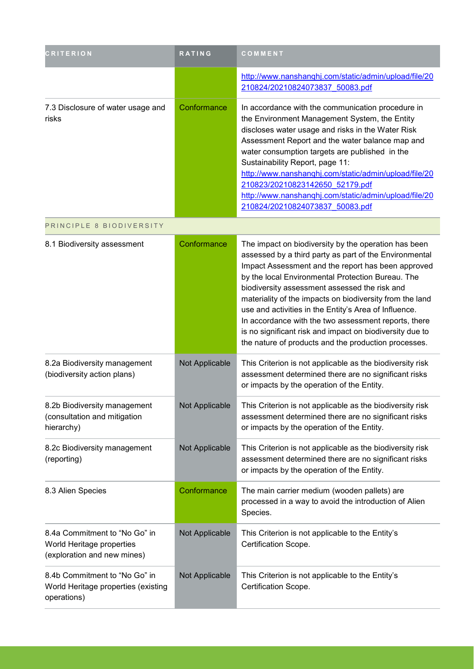| <b>CRITERION</b>                                                                          | <b>RATING</b>  | COMMENT                                                                                                                                                                                                                                                                                                                                                                                                                                                                                                                                                                     |
|-------------------------------------------------------------------------------------------|----------------|-----------------------------------------------------------------------------------------------------------------------------------------------------------------------------------------------------------------------------------------------------------------------------------------------------------------------------------------------------------------------------------------------------------------------------------------------------------------------------------------------------------------------------------------------------------------------------|
|                                                                                           |                | http://www.nanshanqhj.com/static/admin/upload/file/20<br>210824/20210824073837 50083.pdf                                                                                                                                                                                                                                                                                                                                                                                                                                                                                    |
| 7.3 Disclosure of water usage and<br>risks                                                | Conformance    | In accordance with the communication procedure in<br>the Environment Management System, the Entity<br>discloses water usage and risks in the Water Risk<br>Assessment Report and the water balance map and<br>water consumption targets are published in the<br>Sustainability Report, page 11:<br>http://www.nanshanqhj.com/static/admin/upload/file/20<br>210823/20210823142650 52179.pdf<br>http://www.nanshanqhj.com/static/admin/upload/file/20<br>210824/20210824073837 50083.pdf                                                                                     |
| PRINCIPLE 8 BIODIVERSITY                                                                  |                |                                                                                                                                                                                                                                                                                                                                                                                                                                                                                                                                                                             |
| 8.1 Biodiversity assessment                                                               | Conformance    | The impact on biodiversity by the operation has been<br>assessed by a third party as part of the Environmental<br>Impact Assessment and the report has been approved<br>by the local Environmental Protection Bureau. The<br>biodiversity assessment assessed the risk and<br>materiality of the impacts on biodiversity from the land<br>use and activities in the Entity's Area of Influence.<br>In accordance with the two assessment reports, there<br>is no significant risk and impact on biodiversity due to<br>the nature of products and the production processes. |
| 8.2a Biodiversity management<br>(biodiversity action plans)                               | Not Applicable | This Criterion is not applicable as the biodiversity risk<br>assessment determined there are no significant risks<br>or impacts by the operation of the Entity.                                                                                                                                                                                                                                                                                                                                                                                                             |
| 8.2b Biodiversity management<br>(consultation and mitigation<br>hierarchy)                | Not Applicable | This Criterion is not applicable as the biodiversity risk<br>assessment determined there are no significant risks<br>or impacts by the operation of the Entity.                                                                                                                                                                                                                                                                                                                                                                                                             |
| 8.2c Biodiversity management<br>(reporting)                                               | Not Applicable | This Criterion is not applicable as the biodiversity risk<br>assessment determined there are no significant risks<br>or impacts by the operation of the Entity.                                                                                                                                                                                                                                                                                                                                                                                                             |
| 8.3 Alien Species                                                                         | Conformance    | The main carrier medium (wooden pallets) are<br>processed in a way to avoid the introduction of Alien<br>Species.                                                                                                                                                                                                                                                                                                                                                                                                                                                           |
| 8.4a Commitment to "No Go" in<br>World Heritage properties<br>(exploration and new mines) | Not Applicable | This Criterion is not applicable to the Entity's<br>Certification Scope.                                                                                                                                                                                                                                                                                                                                                                                                                                                                                                    |
| 8.4b Commitment to "No Go" in<br>World Heritage properties (existing<br>operations)       | Not Applicable | This Criterion is not applicable to the Entity's<br>Certification Scope.                                                                                                                                                                                                                                                                                                                                                                                                                                                                                                    |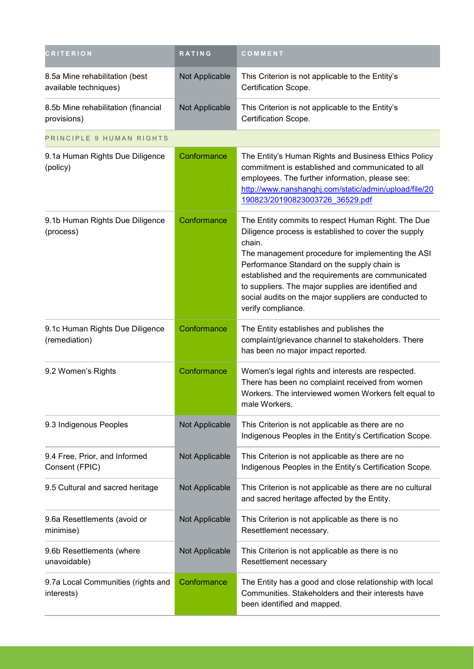| <b>CRITERION</b>                                        | RATING         | COMMENT                                                                                                                                                                                                                                                                                                                                                                                                             |
|---------------------------------------------------------|----------------|---------------------------------------------------------------------------------------------------------------------------------------------------------------------------------------------------------------------------------------------------------------------------------------------------------------------------------------------------------------------------------------------------------------------|
| 8.5a Mine rehabilitation (best<br>available techniques) | Not Applicable | This Criterion is not applicable to the Entity's<br>Certification Scope.                                                                                                                                                                                                                                                                                                                                            |
| 8.5b Mine rehabilitation (financial<br>provisions)      | Not Applicable | This Criterion is not applicable to the Entity's<br>Certification Scope.                                                                                                                                                                                                                                                                                                                                            |
| PRINCIPLE 9 HUMAN RIGHTS                                |                |                                                                                                                                                                                                                                                                                                                                                                                                                     |
| 9.1a Human Rights Due Diligence<br>(policy)             | Conformance    | The Entity's Human Rights and Business Ethics Policy<br>commitment is established and communicated to all<br>employees. The further information, please see:<br>http://www.nanshanqhj.com/static/admin/upload/file/20<br>190823/20190823003726 36529.pdf                                                                                                                                                            |
| 9.1b Human Rights Due Diligence<br>(process)            | Conformance    | The Entity commits to respect Human Right. The Due<br>Diligence process is established to cover the supply<br>chain.<br>The management procedure for implementing the ASI<br>Performance Standard on the supply chain is<br>established and the requirements are communicated<br>to suppliers. The major supplies are identified and<br>social audits on the major suppliers are conducted to<br>verify compliance. |
| 9.1c Human Rights Due Diligence<br>(remediation)        | Conformance    | The Entity establishes and publishes the<br>complaint/grievance channel to stakeholders. There<br>has been no major impact reported.                                                                                                                                                                                                                                                                                |
| 9.2 Women's Rights                                      | Conformance    | Women's legal rights and interests are respected.<br>There has been no complaint received from women<br>Workers. The interviewed women Workers felt equal to<br>male Workers.                                                                                                                                                                                                                                       |
| 9.3 Indigenous Peoples                                  | Not Applicable | This Criterion is not applicable as there are no<br>Indigenous Peoples in the Entity's Certification Scope.                                                                                                                                                                                                                                                                                                         |
| 9.4 Free, Prior, and Informed<br>Consent (FPIC)         | Not Applicable | This Criterion is not applicable as there are no<br>Indigenous Peoples in the Entity's Certification Scope.                                                                                                                                                                                                                                                                                                         |
| 9.5 Cultural and sacred heritage                        | Not Applicable | This Criterion is not applicable as there are no cultural<br>and sacred heritage affected by the Entity.                                                                                                                                                                                                                                                                                                            |
| 9.6a Resettlements (avoid or<br>minimise)               | Not Applicable | This Criterion is not applicable as there is no<br>Resettlement necessary.                                                                                                                                                                                                                                                                                                                                          |
| 9.6b Resettlements (where<br>unavoidable)               | Not Applicable | This Criterion is not applicable as there is no<br>Resettlement necessary                                                                                                                                                                                                                                                                                                                                           |
| 9.7a Local Communities (rights and<br>interests)        | Conformance    | The Entity has a good and close relationship with local<br>Communities. Stakeholders and their interests have<br>been identified and mapped.                                                                                                                                                                                                                                                                        |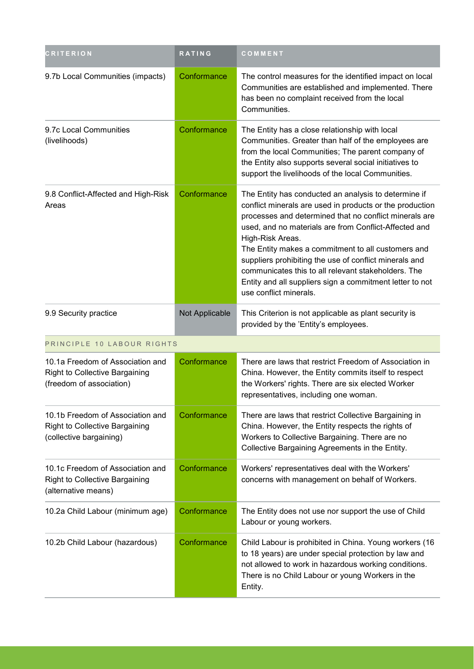| <b>CRITERION</b>                                                                                      | RATING         | COMMENT                                                                                                                                                                                                                                                                                                                                                                                                                                                                                                              |
|-------------------------------------------------------------------------------------------------------|----------------|----------------------------------------------------------------------------------------------------------------------------------------------------------------------------------------------------------------------------------------------------------------------------------------------------------------------------------------------------------------------------------------------------------------------------------------------------------------------------------------------------------------------|
| 9.7b Local Communities (impacts)                                                                      | Conformance    | The control measures for the identified impact on local<br>Communities are established and implemented. There<br>has been no complaint received from the local<br>Communities.                                                                                                                                                                                                                                                                                                                                       |
| 9.7c Local Communities<br>(livelihoods)                                                               | Conformance    | The Entity has a close relationship with local<br>Communities. Greater than half of the employees are<br>from the local Communities; The parent company of<br>the Entity also supports several social initiatives to<br>support the livelihoods of the local Communities.                                                                                                                                                                                                                                            |
| 9.8 Conflict-Affected and High-Risk<br>Areas                                                          | Conformance    | The Entity has conducted an analysis to determine if<br>conflict minerals are used in products or the production<br>processes and determined that no conflict minerals are<br>used, and no materials are from Conflict-Affected and<br>High-Risk Areas.<br>The Entity makes a commitment to all customers and<br>suppliers prohibiting the use of conflict minerals and<br>communicates this to all relevant stakeholders. The<br>Entity and all suppliers sign a commitment letter to not<br>use conflict minerals. |
| 9.9 Security practice                                                                                 | Not Applicable | This Criterion is not applicable as plant security is<br>provided by the 'Entity's employees.                                                                                                                                                                                                                                                                                                                                                                                                                        |
| PRINCIPLE 10 LABOUR RIGHTS                                                                            |                |                                                                                                                                                                                                                                                                                                                                                                                                                                                                                                                      |
| 10.1a Freedom of Association and<br><b>Right to Collective Bargaining</b><br>(freedom of association) | Conformance    | There are laws that restrict Freedom of Association in<br>China. However, the Entity commits itself to respect<br>the Workers' rights. There are six elected Worker<br>representatives, including one woman.                                                                                                                                                                                                                                                                                                         |
| 10.1b Freedom of Association and<br><b>Right to Collective Bargaining</b><br>(collective bargaining)  | Conformance    | There are laws that restrict Collective Bargaining in<br>China. However, the Entity respects the rights of<br>Workers to Collective Bargaining. There are no<br>Collective Bargaining Agreements in the Entity.                                                                                                                                                                                                                                                                                                      |
| 10.1c Freedom of Association and<br><b>Right to Collective Bargaining</b><br>(alternative means)      | Conformance    | Workers' representatives deal with the Workers'<br>concerns with management on behalf of Workers.                                                                                                                                                                                                                                                                                                                                                                                                                    |
| 10.2a Child Labour (minimum age)                                                                      | Conformance    | The Entity does not use nor support the use of Child<br>Labour or young workers.                                                                                                                                                                                                                                                                                                                                                                                                                                     |
| 10.2b Child Labour (hazardous)                                                                        | Conformance    | Child Labour is prohibited in China. Young workers (16<br>to 18 years) are under special protection by law and<br>not allowed to work in hazardous working conditions.<br>There is no Child Labour or young Workers in the<br>Entity.                                                                                                                                                                                                                                                                                |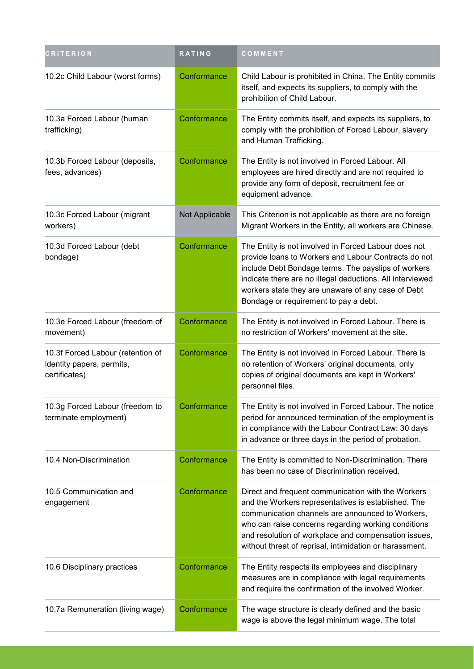| <b>CRITERION</b>                                                                | RATING         | COMMENT                                                                                                                                                                                                                                                                                                                                 |
|---------------------------------------------------------------------------------|----------------|-----------------------------------------------------------------------------------------------------------------------------------------------------------------------------------------------------------------------------------------------------------------------------------------------------------------------------------------|
| 10.2c Child Labour (worst forms)                                                | Conformance    | Child Labour is prohibited in China. The Entity commits<br>itself, and expects its suppliers, to comply with the<br>prohibition of Child Labour.                                                                                                                                                                                        |
| 10.3a Forced Labour (human<br>trafficking)                                      | Conformance    | The Entity commits itself, and expects its suppliers, to<br>comply with the prohibition of Forced Labour, slavery<br>and Human Trafficking.                                                                                                                                                                                             |
| 10.3b Forced Labour (deposits,<br>fees, advances)                               | Conformance    | The Entity is not involved in Forced Labour. All<br>employees are hired directly and are not required to<br>provide any form of deposit, recruitment fee or<br>equipment advance.                                                                                                                                                       |
| 10.3c Forced Labour (migrant<br>workers)                                        | Not Applicable | This Criterion is not applicable as there are no foreign<br>Migrant Workers in the Entity, all workers are Chinese.                                                                                                                                                                                                                     |
| 10.3d Forced Labour (debt<br>bondage)                                           | Conformance    | The Entity is not involved in Forced Labour does not<br>provide loans to Workers and Labour Contracts do not<br>include Debt Bondage terms. The payslips of workers<br>indicate there are no illegal deductions. All interviewed<br>workers state they are unaware of any case of Debt<br>Bondage or requirement to pay a debt.         |
| 10.3e Forced Labour (freedom of<br>movement)                                    | Conformance    | The Entity is not involved in Forced Labour. There is<br>no restriction of Workers' movement at the site.                                                                                                                                                                                                                               |
| 10.3f Forced Labour (retention of<br>identity papers, permits,<br>certificates) | Conformance    | The Entity is not involved in Forced Labour. There is<br>no retention of Workers' original documents, only<br>copies of original documents are kept in Workers'<br>personnel files.                                                                                                                                                     |
| 10.3g Forced Labour (freedom to<br>terminate employment)                        | Conformance    | The Entity is not involved in Forced Labour. The notice<br>period for announced termination of the employment is<br>in compliance with the Labour Contract Law: 30 days<br>in advance or three days in the period of probation.                                                                                                         |
| 10.4 Non-Discrimination                                                         | Conformance    | The Entity is committed to Non-Discrimination. There<br>has been no case of Discrimination received.                                                                                                                                                                                                                                    |
| 10.5 Communication and<br>engagement                                            | Conformance    | Direct and frequent communication with the Workers<br>and the Workers representatives is established. The<br>communication channels are announced to Workers,<br>who can raise concerns regarding working conditions<br>and resolution of workplace and compensation issues,<br>without threat of reprisal, intimidation or harassment. |
| 10.6 Disciplinary practices                                                     | Conformance    | The Entity respects its employees and disciplinary<br>measures are in compliance with legal requirements<br>and require the confirmation of the involved Worker.                                                                                                                                                                        |
| 10.7a Remuneration (living wage)                                                | Conformance    | The wage structure is clearly defined and the basic<br>wage is above the legal minimum wage. The total                                                                                                                                                                                                                                  |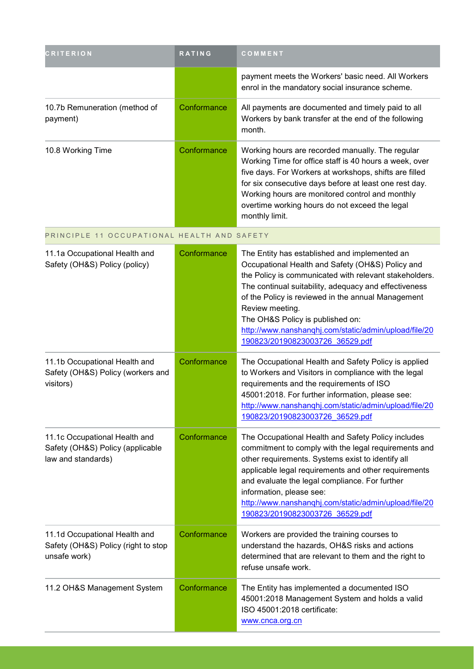| <b>CRITERION</b>                                                                        | <b>RATING</b> | COMMENT                                                                                                                                                                                                                                                                                                                                                                                                                       |
|-----------------------------------------------------------------------------------------|---------------|-------------------------------------------------------------------------------------------------------------------------------------------------------------------------------------------------------------------------------------------------------------------------------------------------------------------------------------------------------------------------------------------------------------------------------|
|                                                                                         |               | payment meets the Workers' basic need. All Workers<br>enrol in the mandatory social insurance scheme.                                                                                                                                                                                                                                                                                                                         |
| 10.7b Remuneration (method of<br>payment)                                               | Conformance   | All payments are documented and timely paid to all<br>Workers by bank transfer at the end of the following<br>month.                                                                                                                                                                                                                                                                                                          |
| 10.8 Working Time                                                                       | Conformance   | Working hours are recorded manually. The regular<br>Working Time for office staff is 40 hours a week, over<br>five days. For Workers at workshops, shifts are filled<br>for six consecutive days before at least one rest day.<br>Working hours are monitored control and monthly<br>overtime working hours do not exceed the legal<br>monthly limit.                                                                         |
| PRINCIPLE 11 OCCUPATIONAL HEALTH AND SAFETY                                             |               |                                                                                                                                                                                                                                                                                                                                                                                                                               |
| 11.1a Occupational Health and<br>Safety (OH&S) Policy (policy)                          | Conformance   | The Entity has established and implemented an<br>Occupational Health and Safety (OH&S) Policy and<br>the Policy is communicated with relevant stakeholders.<br>The continual suitability, adequacy and effectiveness<br>of the Policy is reviewed in the annual Management<br>Review meeting.<br>The OH&S Policy is published on:<br>http://www.nanshanqhj.com/static/admin/upload/file/20<br>190823/20190823003726 36529.pdf |
| 11.1b Occupational Health and<br>Safety (OH&S) Policy (workers and<br>visitors)         | Conformance   | The Occupational Health and Safety Policy is applied<br>to Workers and Visitors in compliance with the legal<br>requirements and the requirements of ISO<br>45001:2018. For further information, please see:<br>http://www.nanshanqhj.com/static/admin/upload/file/20<br>190823/20190823003726 36529.pdf                                                                                                                      |
| 11.1c Occupational Health and<br>Safety (OH&S) Policy (applicable<br>law and standards) | Conformance   | The Occupational Health and Safety Policy includes<br>commitment to comply with the legal requirements and<br>other requirements. Systems exist to identify all<br>applicable legal requirements and other requirements<br>and evaluate the legal compliance. For further<br>information, please see:<br>http://www.nanshanqhj.com/static/admin/upload/file/20<br>190823/20190823003726 36529.pdf                             |
| 11.1d Occupational Health and<br>Safety (OH&S) Policy (right to stop<br>unsafe work)    | Conformance   | Workers are provided the training courses to<br>understand the hazards, OH&S risks and actions<br>determined that are relevant to them and the right to<br>refuse unsafe work.                                                                                                                                                                                                                                                |
| 11.2 OH&S Management System                                                             | Conformance   | The Entity has implemented a documented ISO<br>45001:2018 Management System and holds a valid<br>ISO 45001:2018 certificate:<br>www.cnca.org.cn                                                                                                                                                                                                                                                                               |